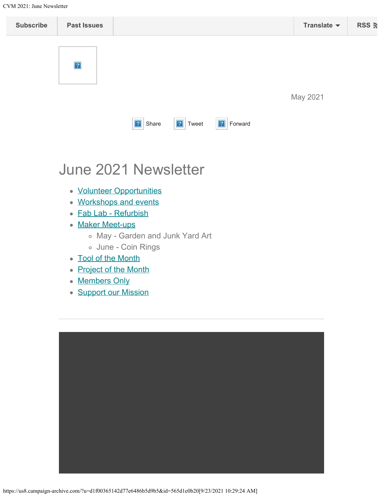<span id="page-0-0"></span>

### June 2021 Newsletter

- [Volunteer Opportunities](#page-0-0)
- [Workshops and events](#page-0-0)
- [Fab Lab Refurbish](#page-2-0)
- [Maker Meet-ups](#page-0-0)
	- May Garden and Junk Yard Art
	- June Coin Rings
- [Tool of the Month](#page-0-0)
- [Project of the Month](#page-0-0)
- [Members Only](#page-0-0)
- **[Support our Mission](https://www.cfneia.org/giving/give-today?fund=609)**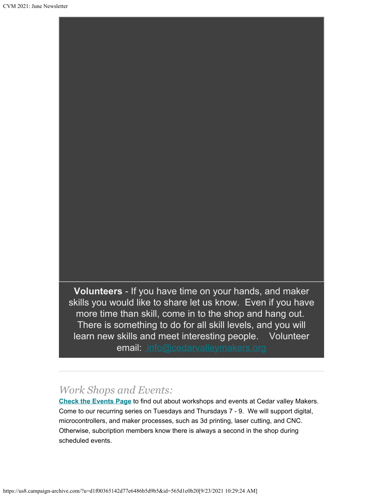**Volunteers** - If you have time on your hands, and maker skills you would like to share let us know. Even if you have more time than skill, come in to the shop and hang out. There is something to do for all skill levels, and you will learn new skills and meet interesting people. Volunteer email: [info@cedarvalleymakers.org](mailto:info@cedarvalleymakers.org)

#### *Work Shops and Events:*

**[Check the Events Page](https://www.cedarvalleymakers.org/events)** to find out about workshops and events at Cedar valley Makers. Come to our recurring series on Tuesdays and Thursdays 7 - 9. We will support digital, microcontrollers, and maker processes, such as 3d printing, laser cutting, and CNC. Otherwise, subcription members know there is always a second in the shop during scheduled events.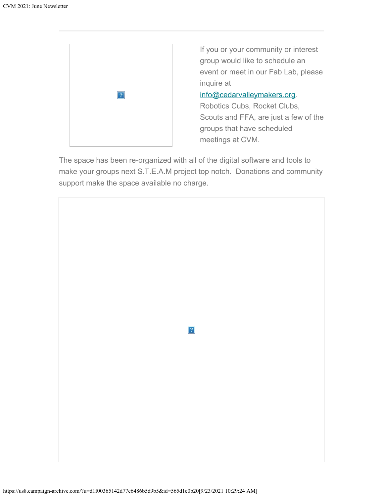<span id="page-2-0"></span>

If you or your community or interest group would like to schedule an event or meet in our Fab Lab, please inquire at

#### [info@cedarvalleymakers.org](mailto:info@cedarvalleymakers.org?subject=Can%20my%20group%20meet%20at%20the%20makerspace%3F).

Robotics Cubs, Rocket Clubs, Scouts and FFA, are just a few of the groups that have scheduled meetings at CVM.

The space has been re-organized with all of the digital software and tools to make your groups next S.T.E.A.M project top notch. Donations and community support make the space available no charge.

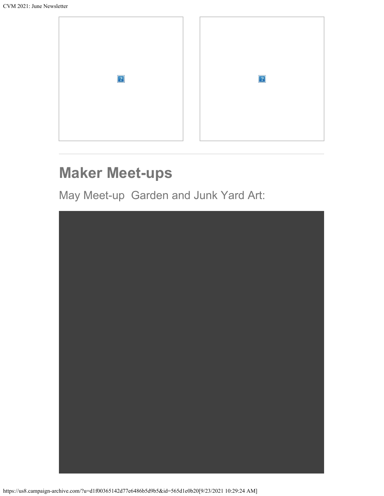

## **Maker Meet-ups**

May Meet-up Garden and Junk Yard Art:

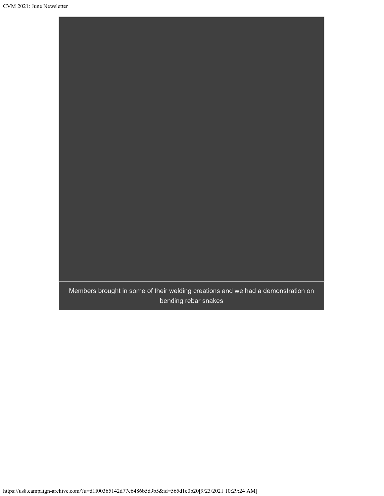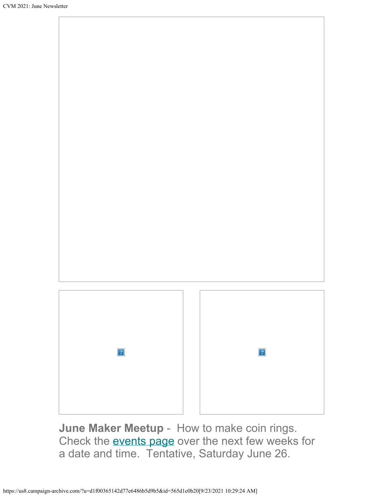

**June Maker Meetup** - How to make coin rings. Check the **events page** over the next few weeks for a date and time. Tentative, Saturday June 26.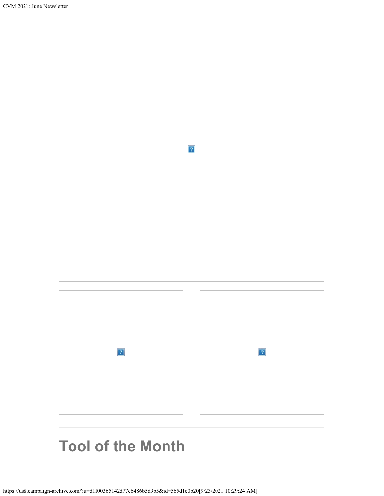

## **Tool of the Month**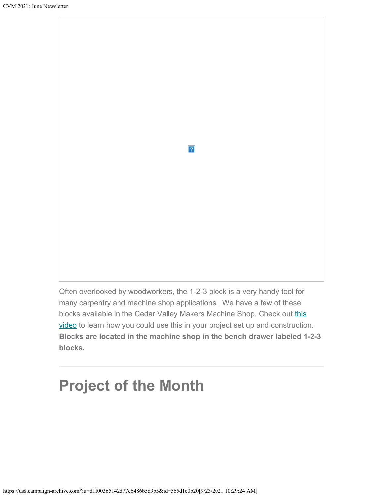

Often overlooked by woodworkers, the 1-2-3 block is a very handy tool for many carpentry and machine shop applications. We have a few of these blocks available in the Cedar Valley Makers Machine Shop. Check out [this](https://youtu.be/91XuX8hqfY0) [video](https://youtu.be/91XuX8hqfY0) to learn how you could use this in your project set up and construction. **Blocks are located in the machine shop in the bench drawer labeled 1-2-3 blocks.**

# **Project of the Month**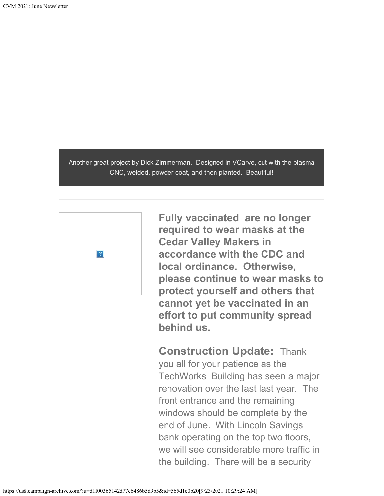



Another great project by Dick Zimmerman. Designed in VCarve, cut with the plasma CNC, welded, powder coat, and then planted. Beautiful!



**Fully vaccinated are no longer required to wear masks at the Cedar Valley Makers in accordance with the CDC and local ordinance. Otherwise, please continue to wear masks to protect yourself and others that cannot yet be vaccinated in an effort to put community spread behind us.**

**Construction Update:** Thank you all for your patience as the TechWorks Building has seen a major renovation over the last last year. The front entrance and the remaining windows should be complete by the end of June. With Lincoln Savings bank operating on the top two floors, we will see considerable more traffic in the building. There will be a security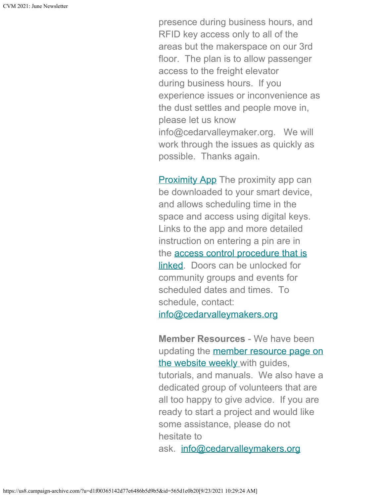presence during business hours, and RFID key access only to all of the areas but the makerspace on our 3rd floor. The plan is to allow passenger access to the freight elevator during business hours. If you experience issues or inconvenience as the dust settles and people move in, please let us know info@cedarvalleymaker.org. We will work through the issues as quickly as possible. Thanks again.

**[Proximity App](https://www.proximity.space/apps/) The proximity app can** be downloaded to your smart device, and allows scheduling time in the space and access using digital keys. Links to the app and more detailed instruction on entering a pin are in the access control [procedure that is](https://docs.google.com/document/d/18HC5n-TzWr5ynP8j1MGWK7xHu_oUE61Rvd1nA5EH2KA/edit?usp=sharing) [linked](https://docs.google.com/document/d/18HC5n-TzWr5ynP8j1MGWK7xHu_oUE61Rvd1nA5EH2KA/edit?usp=sharing). Doors can be unlocked for community groups and events for scheduled dates and times. To schedule, contact: [info@cedarvalleymakers.org](mailto:info@cedarvalleymakers.org?subject=Space%20access%20for%20event%20or%20group)

**Member Resources** - We have been updating the [member resource page on](https://www.cedarvalleymakers.org/resource-center) [the website weekly](https://www.cedarvalleymakers.org/resource-center) with guides, tutorials, and manuals. We also have a dedicated group of volunteers that are all too happy to give advice. If you are ready to start a project and would like some assistance, please do not hesitate to ask. [info@cedarvalleymakers.org](mailto:info@cedarvalleymakers.org)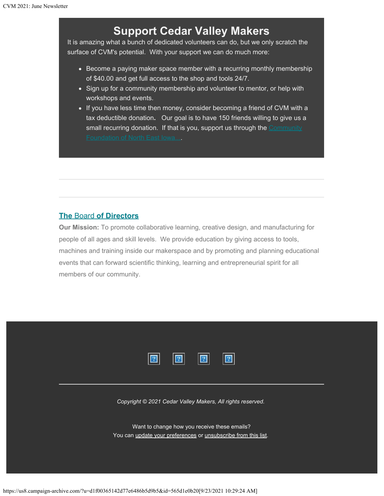### **Support Cedar Valley Makers**

It is amazing what a bunch of dedicated volunteers can do, but we only scratch the surface of CVM's potential. With your support we can do much more:

- Become a paying maker space member with a recurring monthly membership of \$40.00 and get full access to the shop and tools 24/7.
- Sign up for a community membership and volunteer to mentor, or help with workshops and events.
- If you have less time then money, consider becoming a friend of CVM with a tax deductible donation**.** Our goal is to have 150 friends willing to give us a small recurring donation. If that is you, support us through the [Community](https://www.cfneia.org/giving/give-today?fund=609)

#### **[The](https://www.cedarvalleymakers.org/Board-of-Directors/)** [Board](https://www.cedarvalleymakers.org/Board-of-Directors/) **[of Directors](https://www.cedarvalleymakers.org/Board-of-Directors/)**

**Our Mission:** To promote collaborative learning, creative design, and manufacturing for people of all ages and skill levels. We provide education by giving access to tools, machines and training inside our makerspace and by promoting and planning educational events that can forward scientific thinking, learning and entrepreneurial spirit for all members of our community.



*Copyright © 2021 Cedar Valley Makers, All rights reserved.*

Want to change how you receive these emails? You can [update your preferences](https://cedarvalleymakers.us8.list-manage.com/profile?u=d1f00365142d77e6486b5d9b5&id=ed104f5cdf&e=[UNIQID]&c=565d1e0b20) or [unsubscribe from this list.](https://cedarvalleymakers.us8.list-manage.com/unsubscribe?u=d1f00365142d77e6486b5d9b5&id=ed104f5cdf&e=[UNIQID]&c=565d1e0b20)